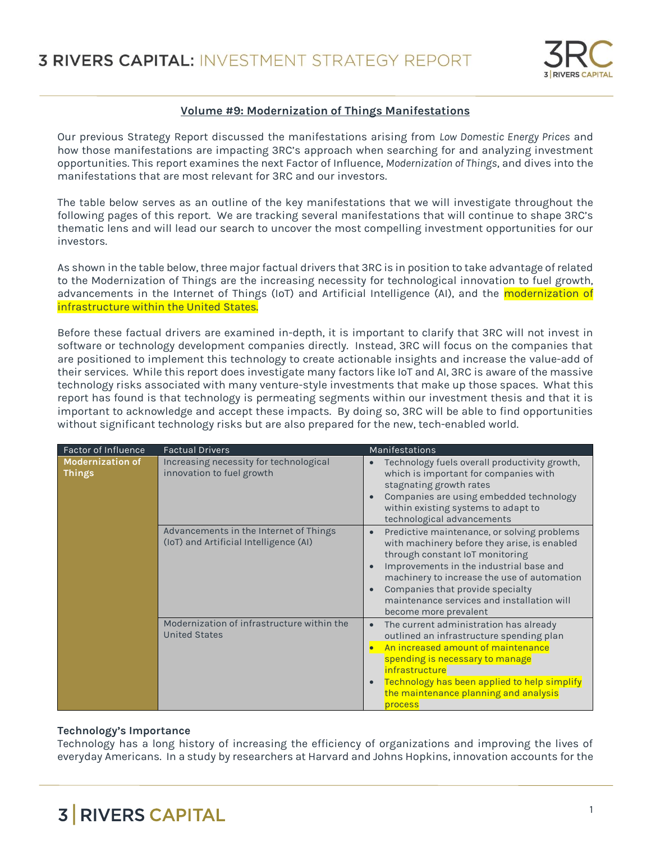

## **Volume #9: Modernization of Things Manifestations**

Our previous Strategy Report discussed the manifestations arising from *Low Domestic Energy Prices* and how those manifestations are impacting 3RC's approach when searching for and analyzing investment opportunities. This report examines the next Factor of Influence, *Modernization of Things*, and dives into the manifestations that are most relevant for 3RC and our investors.

The table below serves as an outline of the key manifestations that we will investigate throughout the following pages of this report. We are tracking several manifestations that will continue to shape 3RC's thematic lens and will lead our search to uncover the most compelling investment opportunities for our investors.

As shown in the table below, three major factual drivers that 3RC is in position to take advantage of related to the Modernization of Things are the increasing necessity for technological innovation to fuel growth, advancements in the Internet of Things (IoT) and Artificial Intelligence (AI), and the modernization of infrastructure within the United States.

Before these factual drivers are examined in-depth, it is important to clarify that 3RC will not invest in software or technology development companies directly. Instead, 3RC will focus on the companies that are positioned to implement this technology to create actionable insights and increase the value-add of their services. While this report does investigate many factors like IoT and AI, 3RC is aware of the massive technology risks associated with many venture-style investments that make up those spaces. What this report has found is that technology is permeating segments within our investment thesis and that it is important to acknowledge and accept these impacts. By doing so, 3RC will be able to find opportunities without significant technology risks but are also prepared for the new, tech-enabled world.

| Factor of Influence                      | <b>Factual Drivers</b>                                                           | Manifestations                                                                                                                                                                                                                                                                                                                      |
|------------------------------------------|----------------------------------------------------------------------------------|-------------------------------------------------------------------------------------------------------------------------------------------------------------------------------------------------------------------------------------------------------------------------------------------------------------------------------------|
| <b>Modernization of</b><br><b>Things</b> | Increasing necessity for technological<br>innovation to fuel growth              | Technology fuels overall productivity growth,<br>which is important for companies with<br>stagnating growth rates<br>Companies are using embedded technology<br>within existing systems to adapt to<br>technological advancements                                                                                                   |
|                                          | Advancements in the Internet of Things<br>(IoT) and Artificial Intelligence (AI) | Predictive maintenance, or solving problems<br>with machinery before they arise, is enabled<br>through constant IoT monitoring<br>Improvements in the industrial base and<br>machinery to increase the use of automation<br>Companies that provide specialty<br>maintenance services and installation will<br>become more prevalent |
|                                          | Modernization of infrastructure within the<br><b>United States</b>               | The current administration has already<br>outlined an infrastructure spending plan<br>An increased amount of maintenance<br>spending is necessary to manage<br>infrastructure<br>Technology has been applied to help simplify<br>the maintenance planning and analysis<br>process                                                   |

## **Technology's Importance**

Technology has a long history of increasing the efficiency of organizations and improving the lives of everyday Americans. In a study by researchers at Harvard and Johns Hopkins, innovation accounts for the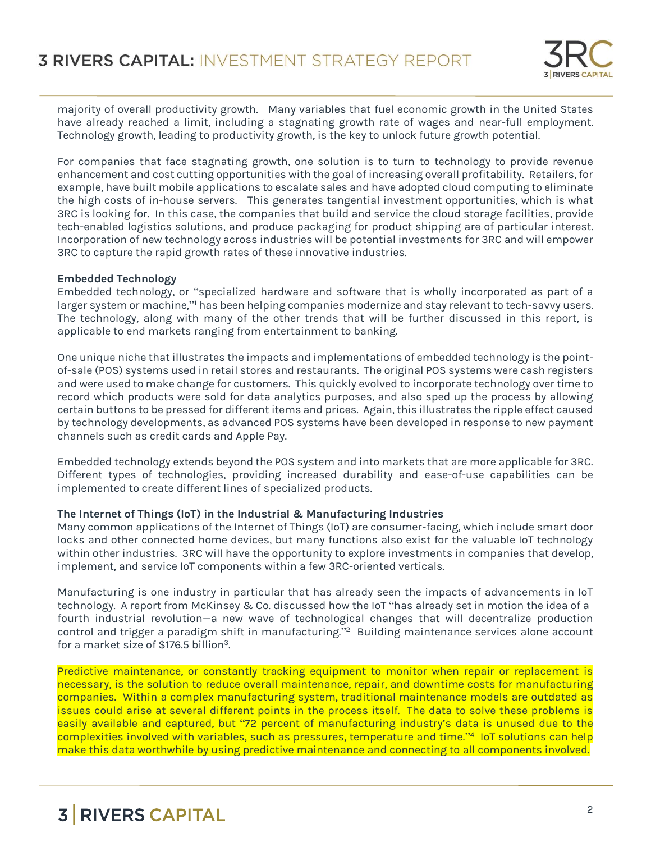

majority of overall productivity growth. Many variables that fuel economic growth in the United States have already reached a limit, including a stagnating growth rate of wages and near-full employment. Technology growth, leading to productivity growth, is the key to unlock future growth potential.

For companies that face stagnating growth, one solution is to turn to technology to provide revenue enhancement and cost cutting opportunities with the goal of increasing overall profitability. Retailers, for example, have built mobile applications to escalate sales and have adopted cloud computing to eliminate the high costs of in-house servers. This generates tangential investment opportunities, which is what 3RC is looking for. In this case, the companies that build and service the cloud storage facilities, provide tech-enabled logistics solutions, and produce packaging for product shipping are of particular interest. Incorporation of new technology across industries will be potential investments for 3RC and will empower 3RC to capture the rapid growth rates of these innovative industries.

## **Embedded Technology**

Embedded technology, or "specialized hardware and software that is wholly incorporated as part of a larger system or machine," has been helping companies modernize and stay relevant to tech-savvy users. The technology, along with many of the other trends that will be further discussed in this report, is applicable to end markets ranging from entertainment to banking.

One unique niche that illustrates the impacts and implementations of embedded technology is the pointof-sale (POS) systems used in retail stores and restaurants. The original POS systems were cash registers and were used to make change for customers. This quickly evolved to incorporate technology over time to record which products were sold for data analytics purposes, and also sped up the process by allowing certain buttons to be pressed for different items and prices. Again, this illustrates the ripple effect caused by technology developments, as advanced POS systems have been developed in response to new payment channels such as credit cards and Apple Pay.

Embedded technology extends beyond the POS system and into markets that are more applicable for 3RC. Different types of technologies, providing increased durability and ease-of-use capabilities can be implemented to create different lines of specialized products.

### **The Internet of Things (IoT) in the Industrial & Manufacturing Industries**

Many common applications of the Internet of Things (IoT) are consumer-facing, which include smart door locks and other connected home devices, but many functions also exist for the valuable IoT technology within other industries. 3RC will have the opportunity to explore investments in companies that develop, implement, and service IoT components within a few 3RC-oriented verticals.

Manufacturing is one industry in particular that has already seen the impacts of advancements in IoT technology. A report from McKinsey & Co. discussed how the IoT "has already set in motion the idea of a fourth industrial revolution—a new wave of technological changes that will decentralize production control and trigger a paradigm shift in manufacturing." <sup>2</sup> Building maintenance services alone account for a market size of \$176.5 billion<sup>3</sup>.

Predictive maintenance, or constantly tracking equipment to monitor when repair or replacement is necessary, is the solution to reduce overall maintenance, repair, and downtime costs for manufacturing companies. Within a complex manufacturing system, traditional maintenance models are outdated as issues could arise at several different points in the process itself. The data to solve these problems is easily available and captured, but "72 percent of manufacturing industry's data is unused due to the complexities involved with variables, such as pressures, temperature and time." 4 IoT solutions can help make this data worthwhile by using predictive maintenance and connecting to all components involved.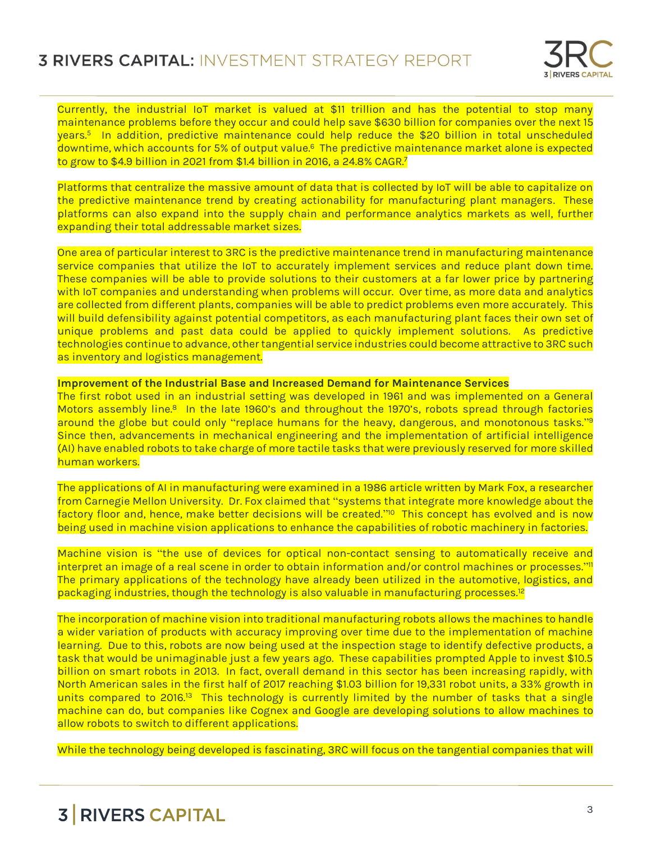

Currently, the industrial IoT market is valued at \$11 trillion and has the potential to stop many maintenance problems before they occur and could help save \$630 billion for companies over the next 15 years.<sup>5</sup> In addition, predictive maintenance could help reduce the \$20 billion in total unscheduled downtime, which accounts for 5% of output value.<sup>6</sup> The predictive maintenance market alone is expected to grow to \$4.9 billion in 2021 from \$1.4 billion in 2016, a 24.8% CAGR.<sup>7</sup>

Platforms that centralize the massive amount of data that is collected by IoT will be able to capitalize on the predictive maintenance trend by creating actionability for manufacturing plant managers. These platforms can also expand into the supply chain and performance analytics markets as well, further expanding their total addressable market sizes.

One area of particular interest to 3RC is the predictive maintenance trend in manufacturing maintenance service companies that utilize the IoT to accurately implement services and reduce plant down time. These companies will be able to provide solutions to their customers at a far lower price by partnering with IoT companies and understanding when problems will occur. Over time, as more data and analytics are collected from different plants, companies will be able to predict problems even more accurately. This will build defensibility against potential competitors, as each manufacturing plant faces their own set of unique problems and past data could be applied to quickly implement solutions. As predictive technologies continue to advance, other tangential service industries could become attractive to 3RC such as inventory and logistics management.

#### **Improvement of the Industrial Base and Increased Demand for Maintenance Services**

The first robot used in an industrial setting was developed in 1961 and was implemented on a General Motors assembly line.<sup>8</sup> In the late 1960's and throughout the 1970's, robots spread through factories around the globe but could only "replace humans for the heavy, dangerous, and monotonous tasks."<sup>9</sup> Since then, advancements in mechanical engineering and the implementation of artificial intelligence (AI) have enabled robots to take charge of more tactile tasks that were previously reserved for more skilled human workers.

The applications of AI in manufacturing were examined in a 1986 article written by Mark Fox, a researcher from Carnegie Mellon University. Dr. Fox claimed that "systems that integrate more knowledge about the factory floor and, hence, make better decisions will be created." <sup>10</sup> This concept has evolved and is now being used in machine vision applications to enhance the capabilities of robotic machinery in factories.

Machine vision is "the use of devices for optical non-contact sensing to automatically receive and interpret an image of a real scene in order to obtain information and/or control machines or processes." 11 The primary applications of the technology have already been utilized in the automotive, logistics, and packaging industries, though the technology is also valuable in manufacturing processes.<sup>12</sup>

The incorporation of machine vision into traditional manufacturing robots allows the machines to handle a wider variation of products with accuracy improving over time due to the implementation of machine learning. Due to this, robots are now being used at the inspection stage to identify defective products, a task that would be unimaginable just a few years ago. These capabilities prompted Apple to invest \$10.5 billion on smart robots in 2013. In fact, overall demand in this sector has been increasing rapidly, with North American sales in the first half of 2017 reaching \$1.03 billion for 19,331 robot units, a 33% growth in units compared to 2016.<sup>13</sup> This technology is currently limited by the number of tasks that a single machine can do, but companies like Cognex and Google are developing solutions to allow machines to allow robots to switch to different applications.

While the technology being developed is fascinating, 3RC will focus on the tangential companies that will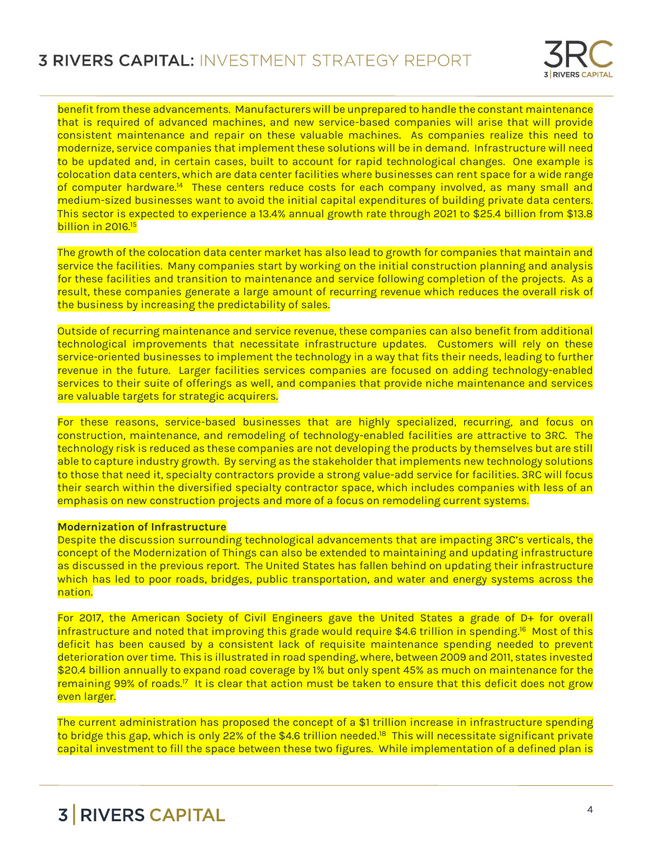

benefit from these advancements. Manufacturers will be unprepared to handle the constant maintenance that is required of advanced machines, and new service-based companies will arise that will provide consistent maintenance and repair on these valuable machines. As companies realize this need to modernize, service companies that implement these solutions will be in demand. Infrastructure will need to be updated and, in certain cases, built to account for rapid technological changes. One example is colocation data centers, which are data center facilities where businesses can rent space for a wide range of computer hardware.<sup>14</sup> These centers reduce costs for each company involved, as many small and medium-sized businesses want to avoid the initial capital expenditures of building private data centers. This sector is expected to experience a 13.4% annual growth rate through 2021 to \$25.4 billion from \$13.8 billion in 2016.<sup>15</sup>

The growth of the colocation data center market has also lead to growth for companies that maintain and service the facilities. Many companies start by working on the initial construction planning and analysis for these facilities and transition to maintenance and service following completion of the projects. As a result, these companies generate a large amount of recurring revenue which reduces the overall risk of the business by increasing the predictability of sales.

Outside of recurring maintenance and service revenue, these companies can also benefit from additional technological improvements that necessitate infrastructure updates. Customers will rely on these service-oriented businesses to implement the technology in a way that fits their needs, leading to further revenue in the future. Larger facilities services companies are focused on adding technology-enabled services to their suite of offerings as well, and companies that provide niche maintenance and services are valuable targets for strategic acquirers.

For these reasons, service-based businesses that are highly specialized, recurring, and focus on construction, maintenance, and remodeling of technology-enabled facilities are attractive to 3RC. The technology risk is reduced as these companies are not developing the products by themselves but are still able to capture industry growth. By serving as the stakeholder that implements new technology solutions to those that need it, specialty contractors provide a strong value-add service for facilities. 3RC will focus their search within the diversified specialty contractor space, which includes companies with less of an emphasis on new construction projects and more of a focus on remodeling current systems.

## **Modernization of Infrastructure**

Despite the discussion surrounding technological advancements that are impacting 3RC's verticals, the concept of the Modernization of Things can also be extended to maintaining and updating infrastructure as discussed in the previous report. The United States has fallen behind on updating their infrastructure which has led to poor roads, bridges, public transportation, and water and energy systems across the nation.

For 2017, the American Society of Civil Engineers gave the United States a grade of D+ for overall infrastructure and noted that improving this grade would require \$4.6 trillion in spending. 16 Most of this deficit has been caused by a consistent lack of requisite maintenance spending needed to prevent deterioration over time. This is illustrated in road spending, where, between 2009 and 2011, states invested \$20.4 billion annually to expand road coverage by 1% but only spent 45% as much on maintenance for the remaining 99% of roads.<sup>17</sup> It is clear that action must be taken to ensure that this deficit does not grow even larger.

The current administration has proposed the concept of a \$1 trillion increase in infrastructure spending to bridge this gap, which is only 22% of the \$4.6 trillion needed.<sup>18</sup> This will necessitate significant private capital investment to fill the space between these two figures. While implementation of a defined plan is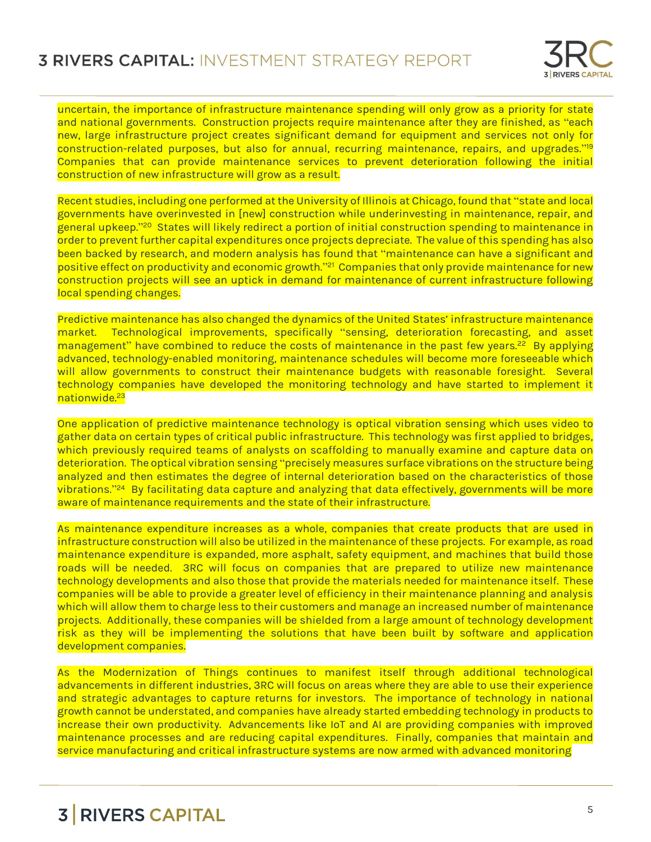

uncertain, the importance of infrastructure maintenance spending will only grow as a priority for state and national governments. Construction projects require maintenance after they are finished, as "each new, large infrastructure project creates significant demand for equipment and services not only for construction-related purposes, but also for annual, recurring maintenance, repairs, and upgrades." 19 Companies that can provide maintenance services to prevent deterioration following the initial construction of new infrastructure will grow as a result.

Recent studies, including one performed at the University of Illinois at Chicago, found that "state and local governments have overinvested in [new] construction while underinvesting in maintenance, repair, and general upkeep."<sup>20</sup> States will likely redirect a portion of initial construction spending to maintenance in order to prevent further capital expenditures once projects depreciate. The value of this spending has also been backed by research, and modern analysis has found that "maintenance can have a significant and positive effect on productivity and economic growth."<sup>21</sup> Companies that only provide maintenance for new construction projects will see an uptick in demand for maintenance of current infrastructure following local spending changes.

Predictive maintenance has also changed the dynamics of the United States' infrastructure maintenance market. Technological improvements, specifically "sensing, deterioration forecasting, and asset management" have combined to reduce the costs of maintenance in the past few years.<sup>22</sup> By applying advanced, technology-enabled monitoring, maintenance schedules will become more foreseeable which will allow governments to construct their maintenance budgets with reasonable foresight. Several technology companies have developed the monitoring technology and have started to implement it nationwide.<sup>23</sup>

One application of predictive maintenance technology is optical vibration sensing which uses video to gather data on certain types of critical public infrastructure. This technology was first applied to bridges, which previously required teams of analysts on scaffolding to manually examine and capture data on deterioration. The optical vibration sensing "precisely measures surface vibrations on the structure being analyzed and then estimates the degree of internal deterioration based on the characteristics of those vibrations." 24 By facilitating data capture and analyzing that data effectively, governments will be more aware of maintenance requirements and the state of their infrastructure.

As maintenance expenditure increases as a whole, companies that create products that are used in infrastructure construction will also be utilized in the maintenance of these projects. For example, as road maintenance expenditure is expanded, more asphalt, safety equipment, and machines that build those roads will be needed. 3RC will focus on companies that are prepared to utilize new maintenance technology developments and also those that provide the materials needed for maintenance itself. These companies will be able to provide a greater level of efficiency in their maintenance planning and analysis which will allow them to charge less to their customers and manage an increased number of maintenance projects. Additionally, these companies will be shielded from a large amount of technology development risk as they will be implementing the solutions that have been built by software and application development companies.

As the Modernization of Things continues to manifest itself through additional technological advancements in different industries, 3RC will focus on areas where they are able to use their experience and strategic advantages to capture returns for investors. The importance of technology in national growth cannot be understated, and companies have already started embedding technology in products to increase their own productivity. Advancements like IoT and AI are providing companies with improved maintenance processes and are reducing capital expenditures. Finally, companies that maintain and service manufacturing and critical infrastructure systems are now armed with advanced monitoring